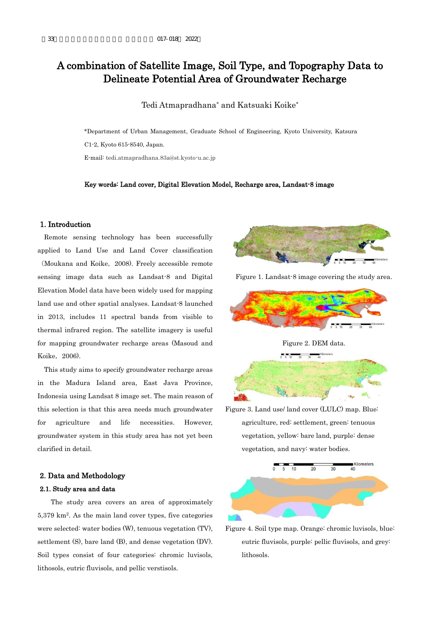# A combination of Satellite Image, Soil Type, and Topography Data to Delineate Potential Area of Groundwater Recharge

Tedi Atmapradhana\* and Katsuaki Koike\*

\*Department of Urban Management, Graduate School of Engineering, Kyoto University, Katsura C1-2, Kyoto 615-8540, Japan.

E-mail: tedi.atmapradhana.83a@st.kyoto-u.ac.jp

#### Key words: Land cover, Digital Elevation Model, Recharge area, Landsat-8 image

#### 1. Introduction

Remote sensing technology has been successfully applied to Land Use and Land Cover classification (Moukana and Koike, 2008). Freely accessible remote sensing image data such as Landsat-8 and Digital Elevation Model data have been widely used for mapping land use and other spatial analyses. Landsat-8 launched in 2013, includes 11 spectral bands from visible to thermal infrared region. The satellite imagery is useful for mapping groundwater recharge areas (Masoud and Koike, 2006).

This study aims to specify groundwater recharge areas in the Madura Island area, East Java Province, Indonesia using Landsat 8 image set. The main reason of this selection is that this area needs much groundwater for agriculture and life necessities. However, groundwater system in this study area has not yet been clarified in detail.

## 2. Data and Methodology

## 2.1. Study area and data

 The study area covers an area of approximately 5,379 km<sup>2</sup> . As the main land cover types, five categories were selected: water bodies (W), tenuous vegetation (TV), settlement (S), bare land (B), and dense vegetation (DV). Soil types consist of four categories: chromic luvisols, lithosols, eutric fluvisols, and pellic verstisols.



Figure 1. Landsat-8 image covering the study area.



Figure 2. DEM data.



Figure 3. Land use/ land cover (LULC) map. Blue: agriculture, red: settlement, green: tenuous vegetation, yellow: bare land, purple: dense vegetation, and navy: water bodies.



Figure 4. Soil type map. Orange: chromic luvisols, blue: eutric fluvisols, purple: pellic fluvisols, and grey: lithosols.